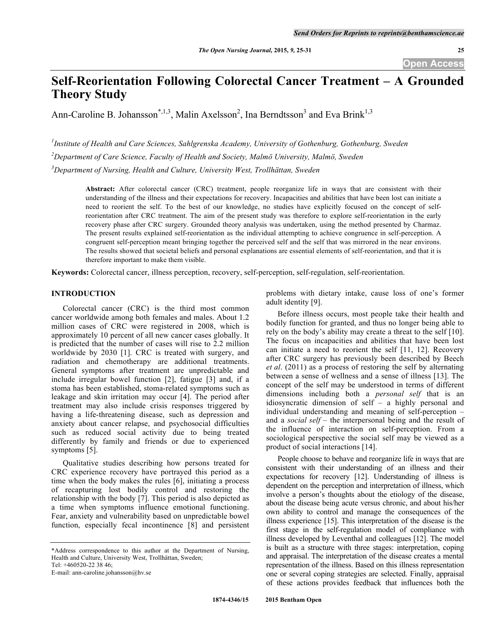# **Self-Reorientation Following Colorectal Cancer Treatment – A Grounded Theory Study**

Ann-Caroline B. Johansson<sup>\*,1,3</sup>, Malin Axelsson<sup>2</sup>, Ina Berndtsson<sup>3</sup> and Eva Brink<sup>1,3</sup>

*1 Institute of Health and Care Sciences, Sahlgrenska Academy, University of Gothenburg, Gothenburg, Sweden 2 Department of Care Science, Faculty of Health and Society, Malmö University, Malmö, Sweden 3 Department of Nursing, Health and Culture, University West, Trollhättan, Sweden*

**Abstract:** After colorectal cancer (CRC) treatment, people reorganize life in ways that are consistent with their understanding of the illness and their expectations for recovery. Incapacities and abilities that have been lost can initiate a need to reorient the self. To the best of our knowledge, no studies have explicitly focused on the concept of selfreorientation after CRC treatment. The aim of the present study was therefore to explore self-reorientation in the early recovery phase after CRC surgery. Grounded theory analysis was undertaken, using the method presented by Charmaz. The present results explained self-reorientation as the individual attempting to achieve congruence in self-perception. A congruent self-perception meant bringing together the perceived self and the self that was mirrored in the near environs. The results showed that societal beliefs and personal explanations are essential elements of self-reorientation, and that it is therefore important to make them visible.

**Keywords:** Colorectal cancer, illness perception, recovery, self-perception, self-regulation, self-reorientation.

# **INTRODUCTION**

Colorectal cancer (CRC) is the third most common cancer worldwide among both females and males. About 1.2 million cases of CRC were registered in 2008, which is approximately 10 percent of all new cancer cases globally. It is predicted that the number of cases will rise to 2.2 million worldwide by 2030 [1]. CRC is treated with surgery, and radiation and chemotherapy are additional treatments. General symptoms after treatment are unpredictable and include irregular bowel function [2], fatigue [3] and, if a stoma has been established, stoma-related symptoms such as leakage and skin irritation may occur [4]. The period after treatment may also include crisis responses triggered by having a life-threatening disease, such as depression and anxiety about cancer relapse, and psychosocial difficulties such as reduced social activity due to being treated differently by family and friends or due to experienced symptoms [5].

Qualitative studies describing how persons treated for CRC experience recovery have portrayed this period as a time when the body makes the rules [6], initiating a process of recapturing lost bodily control and restoring the relationship with the body [7]. This period is also depicted as a time when symptoms influence emotional functioning. Fear, anxiety and vulnerability based on unpredictable bowel function, especially fecal incontinence [8] and persistent

\*Address correspondence to this author at the Department of Nursing, Health and Culture, University West, Trollhättan, Sweden;

Tel: +460520-22 38 46;

E-mail: ann-caroline.johansson@hv.se

problems with dietary intake, cause loss of one's former adult identity [9].

Before illness occurs, most people take their health and bodily function for granted, and thus no longer being able to rely on the body's ability may create a threat to the self [10]. The focus on incapacities and abilities that have been lost can initiate a need to reorient the self [11, 12]. Recovery after CRC surgery has previously been described by Beech *et al*. (2011) as a process of restoring the self by alternating between a sense of wellness and a sense of illness [13]. The concept of the self may be understood in terms of different dimensions including both a *personal self* that is an idiosyncratic dimension of self – a highly personal and individual understanding and meaning of self-perception – and a *social self –* the interpersonal being and the result of the influence of interaction on self-perception. From a sociological perspective the social self may be viewed as a product of social interactions [14].

People choose to behave and reorganize life in ways that are consistent with their understanding of an illness and their expectations for recovery [12]. Understanding of illness is dependent on the perception and interpretation of illness, which involve a person's thoughts about the etiology of the disease, about the disease being acute versus chronic, and about his/her own ability to control and manage the consequences of the illness experience [15]. This interpretation of the disease is the first stage in the self-regulation model of compliance with illness developed by Leventhal and colleagues [12]. The model is built as a structure with three stages: interpretation, coping and appraisal. The interpretation of the disease creates a mental representation of the illness. Based on this illness representation one or several coping strategies are selected. Finally, appraisal of these actions provides feedback that influences both the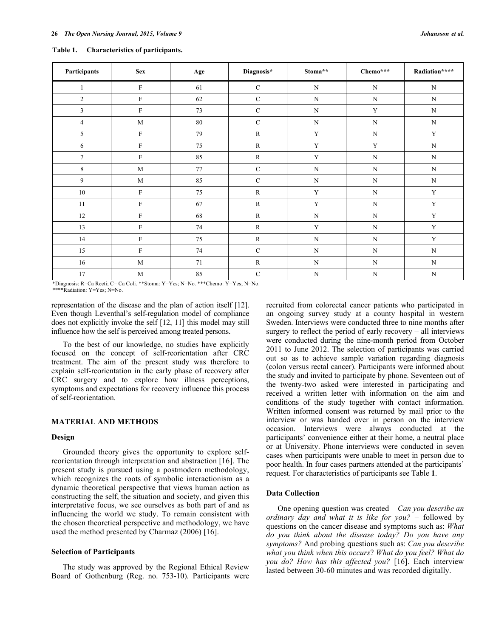| Participants    | <b>Sex</b>  | Age | Diagnosis*   | Stoma**     | Chemo***    | Radiation**** |
|-----------------|-------------|-----|--------------|-------------|-------------|---------------|
| 1               | F           | 61  | $\mathbf C$  | $\mathbf N$ | $\mathbf N$ | $\mathbf N$   |
| $\overline{2}$  | F           | 62  | $\mathbf C$  | $\mathbf N$ | $\mathbf N$ | $\mathbf N$   |
| 3               | $\rm F$     | 73  | $\mathbf C$  | N           | Y           | $\mathbf N$   |
| $\overline{4}$  | $\mathbf M$ | 80  | $\mathbf C$  | $\mathbf N$ | $\mathbf N$ | $\mathbf N$   |
| 5               | ${\rm F}$   | 79  | $\mathbb{R}$ | $\mathbf Y$ | $\mathbf N$ | $\mathbf Y$   |
| 6               | F           | 75  | $\mathbf R$  | $\mathbf Y$ | $\mathbf Y$ | $\mathbf N$   |
| $7\phantom{.0}$ | F           | 85  | ${\bf R}$    | $\mathbf Y$ | $\mathbf N$ | N             |
| $\,8\,$         | $\mathbf M$ | 77  | $\mathbf C$  | N           | $\mathbf N$ | $\mathbf N$   |
| 9               | $\mathbf M$ | 85  | $\mathbf C$  | $\mathbf N$ | $\mathbf N$ | $\mathbf N$   |
| 10              | $\rm F$     | 75  | $\mathbb{R}$ | $\mathbf Y$ | $\mathbf N$ | $\mathbf Y$   |
| 11              | F           | 67  | $\mathbb{R}$ | $\mathbf Y$ | $\mathbf N$ | $\mathbf Y$   |
| 12              | F           | 68  | ${\bf R}$    | $\mathbf N$ | $\mathbf N$ | $\mathbf Y$   |
| 13              | F           | 74  | ${\bf R}$    | $\mathbf Y$ | $\mathbf N$ | $\mathbf Y$   |
| 14              | F           | 75  | ${\bf R}$    | $\mathbf N$ | $\mathbf N$ | $\mathbf Y$   |
| 15              | ${\rm F}$   | 74  | $\mathbf C$  | $\mathbf N$ | $\mathbf N$ | ${\bf N}$     |
| 16              | M           | 71  | $\mathbb{R}$ | ${\bf N}$   | $\mathbf N$ | ${\bf N}$     |
| 17              | $\mathbf M$ | 85  | $\mathbf C$  | ${\rm N}$   | ${\bf N}$   | ${\bf N}$     |

**Table 1. Characteristics of participants.**

\*Diagnosis: R=Ca Recti; C= Ca Coli. \*\*Stoma: Y=Yes; N=No. \*\*\*Chemo: Y=Yes; N=No. \*\*\*\*Radiation: Y=Yes; N=No.

representation of the disease and the plan of action itself [12]. Even though Leventhal's self-regulation model of compliance does not explicitly invoke the self [12, 11] this model may still influence how the self is perceived among treated persons.

To the best of our knowledge, no studies have explicitly focused on the concept of self-reorientation after CRC treatment. The aim of the present study was therefore to explain self-reorientation in the early phase of recovery after CRC surgery and to explore how illness perceptions, symptoms and expectations for recovery influence this process of self-reorientation.

# **MATERIAL AND METHODS**

## **Design**

Grounded theory gives the opportunity to explore selfreorientation through interpretation and abstraction [16]. The present study is pursued using a postmodern methodology, which recognizes the roots of symbolic interactionism as a dynamic theoretical perspective that views human action as constructing the self, the situation and society, and given this interpretative focus, we see ourselves as both part of and as influencing the world we study. To remain consistent with the chosen theoretical perspective and methodology, we have used the method presented by Charmaz (2006) [16].

#### **Selection of Participants**

The study was approved by the Regional Ethical Review Board of Gothenburg (Reg. no. 753-10). Participants were recruited from colorectal cancer patients who participated in an ongoing survey study at a county hospital in western Sweden. Interviews were conducted three to nine months after surgery to reflect the period of early recovery – all interviews were conducted during the nine-month period from October 2011 to June 2012. The selection of participants was carried out so as to achieve sample variation regarding diagnosis (colon versus rectal cancer). Participants were informed about the study and invited to participate by phone. Seventeen out of the twenty-two asked were interested in participating and received a written letter with information on the aim and conditions of the study together with contact information. Written informed consent was returned by mail prior to the interview or was handed over in person on the interview occasion. Interviews were always conducted at the participants' convenience either at their home, a neutral place or at University. Phone interviews were conducted in seven cases when participants were unable to meet in person due to poor health. In four cases partners attended at the participants' request. For characteristics of participants see Table **1**.

## **Data Collection**

One opening question was created – *Can you describe an ordinary day and what it is like for you?* – followed by questions on the cancer disease and symptoms such as: *What do you think about the disease today? Do you have any symptoms?* And probing questions such as: *Can you describe what you think when this occurs*? *What do you feel? What do you do? How has this affected you?* [16]. Each interview lasted between 30-60 minutes and was recorded digitally.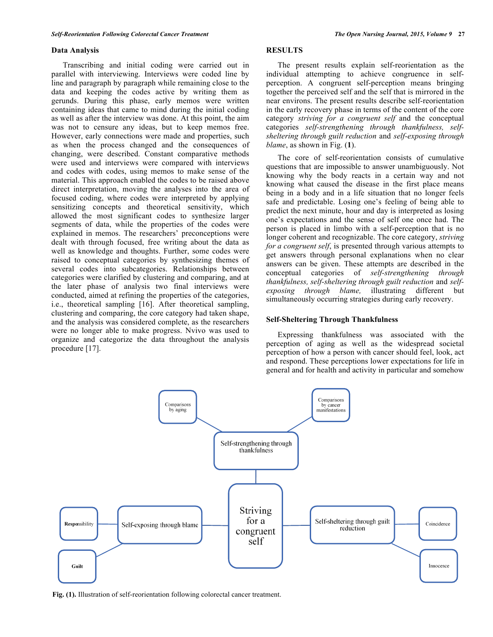#### **Data Analysis**

Transcribing and initial coding were carried out in parallel with interviewing. Interviews were coded line by line and paragraph by paragraph while remaining close to the data and keeping the codes active by writing them as gerunds. During this phase, early memos were written containing ideas that came to mind during the initial coding as well as after the interview was done. At this point, the aim was not to censure any ideas, but to keep memos free. However, early connections were made and properties, such as when the process changed and the consequences of changing, were described. Constant comparative methods were used and interviews were compared with interviews and codes with codes, using memos to make sense of the material. This approach enabled the codes to be raised above direct interpretation, moving the analyses into the area of focused coding, where codes were interpreted by applying sensitizing concepts and theoretical sensitivity, which allowed the most significant codes to synthesize larger segments of data, while the properties of the codes were explained in memos. The researchers' preconceptions were dealt with through focused, free writing about the data as well as knowledge and thoughts. Further, some codes were raised to conceptual categories by synthesizing themes of several codes into subcategories. Relationships between categories were clarified by clustering and comparing, and at the later phase of analysis two final interviews were conducted, aimed at refining the properties of the categories, i.e., theoretical sampling [16]. After theoretical sampling, clustering and comparing, the core category had taken shape, and the analysis was considered complete, as the researchers were no longer able to make progress. Nvivo was used to organize and categorize the data throughout the analysis procedure [17].

# **RESULTS**

The present results explain self-reorientation as the individual attempting to achieve congruence in selfperception. A congruent self-perception means bringing together the perceived self and the self that is mirrored in the near environs. The present results describe self-reorientation in the early recovery phase in terms of the content of the core category *striving for a congruent self* and the conceptual categories *self-strengthening through thankfulness, selfsheltering through guilt reduction* and *self-exposing through blame*, as shown in Fig. (**1**).

The core of self-reorientation consists of cumulative questions that are impossible to answer unambiguously. Not knowing why the body reacts in a certain way and not knowing what caused the disease in the first place means being in a body and in a life situation that no longer feels safe and predictable. Losing one's feeling of being able to predict the next minute, hour and day is interpreted as losing one's expectations and the sense of self one once had. The person is placed in limbo with a self-perception that is no longer coherent and recognizable. The core category, *striving for a congruent self*, is presented through various attempts to get answers through personal explanations when no clear answers can be given. These attempts are described in the conceptual categories of *self-strengthening through thankfulness, self-sheltering through guilt reduction* and *selfexposing through blame,* illustrating different but simultaneously occurring strategies during early recovery.

#### **Self-Sheltering Through Thankfulness**

Expressing thankfulness was associated with the perception of aging as well as the widespread societal perception of how a person with cancer should feel, look, act and respond. These perceptions lower expectations for life in  $\epsilon$  cancer and self-respected to the self-respective in porticular and complexes general and for health and activity in particular and somehow



**Fig. (1).** Illustration of self-reorientation following colorectal cancer treatment.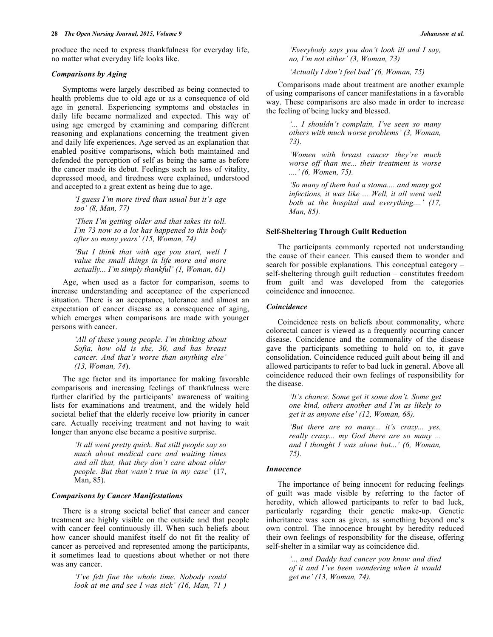produce the need to express thankfulness for everyday life, no matter what everyday life looks like.

# *Comparisons by Aging*

Symptoms were largely described as being connected to health problems due to old age or as a consequence of old age in general. Experiencing symptoms and obstacles in daily life became normalized and expected. This way of using age emerged by examining and comparing different reasoning and explanations concerning the treatment given and daily life experiences. Age served as an explanation that enabled positive comparisons, which both maintained and defended the perception of self as being the same as before the cancer made its debut. Feelings such as loss of vitality, depressed mood, and tiredness were explained, understood and accepted to a great extent as being due to age.

> *'I guess I'm more tired than usual but it's age too' (8, Man, 77)*

> *'Then I'm getting older and that takes its toll. I'm 73 now so a lot has happened to this body after so many years' (15, Woman, 74)*

> *'But I think that with age you start, well I value the small things in life more and more actually... I'm simply thankful' (1, Woman, 61)*

Age, when used as a factor for comparison, seems to increase understanding and acceptance of the experienced situation. There is an acceptance, tolerance and almost an expectation of cancer disease as a consequence of aging, which emerges when comparisons are made with younger persons with cancer.

> *'All of these young people. I'm thinking about Sofia, how old is she, 30, and has breast cancer. And that's worse than anything else' (13, Woman, 74*).

The age factor and its importance for making favorable comparisons and increasing feelings of thankfulness were further clarified by the participants' awareness of waiting lists for examinations and treatment, and the widely held societal belief that the elderly receive low priority in cancer care. Actually receiving treatment and not having to wait longer than anyone else became a positive surprise.

> *'It all went pretty quick. But still people say so much about medical care and waiting times and all that, that they don't care about older people. But that wasn't true in my case'* (17, Man, 85).

## *Comparisons by Cancer Manifestations*

There is a strong societal belief that cancer and cancer treatment are highly visible on the outside and that people with cancer feel continuously ill. When such beliefs about how cancer should manifest itself do not fit the reality of cancer as perceived and represented among the participants, it sometimes lead to questions about whether or not there was any cancer.

> *'I've felt fine the whole time. Nobody could look at me and see I was sick' (16, Man, 71 )*

*'Everybody says you don't look ill and I say, no, I'm not either' (3, Woman, 73)*

*'Actually I don't feel bad' (6, Woman, 75)*

Comparisons made about treatment are another example of using comparisons of cancer manifestations in a favorable way. These comparisons are also made in order to increase the feeling of being lucky and blessed.

> *'... I shouldn't complain, I've seen so many others with much worse problems' (3, Woman, 73).*

> *'Women with breast cancer they're much worse off than me... their treatment is worse ....' (6, Women, 75).*

> *'So many of them had a stoma.... and many got infections, it was like ... Well, it all went well both at the hospital and everything....' (17, Man, 85).*

## **Self-Sheltering Through Guilt Reduction**

The participants commonly reported not understanding the cause of their cancer. This caused them to wonder and search for possible explanations. This conceptual category – self-sheltering through guilt reduction – constitutes freedom from guilt and was developed from the categories coincidence and innocence.

#### *Coincidence*

Coincidence rests on beliefs about commonality, where colorectal cancer is viewed as a frequently occurring cancer disease. Coincidence and the commonality of the disease gave the participants something to hold on to, it gave consolidation. Coincidence reduced guilt about being ill and allowed participants to refer to bad luck in general. Above all coincidence reduced their own feelings of responsibility for the disease.

> *'It's chance. Some get it some don't. Some get one kind, others another and I'm as likely to get it as anyone else' (12, Woman, 68).*

> *'But there are so many... it's crazy... yes, really crazy... my God there are so many ... and I thought I was alone but...' (6, Woman, 75).*

#### *Innocence*

The importance of being innocent for reducing feelings of guilt was made visible by referring to the factor of heredity, which allowed participants to refer to bad luck, particularly regarding their genetic make-up. Genetic inheritance was seen as given, as something beyond one's own control. The innocence brought by heredity reduced their own feelings of responsibility for the disease, offering self-shelter in a similar way as coincidence did.

> *'... and Daddy had cancer you know and died of it and I've been wondering when it would get me' (13, Woman, 74).*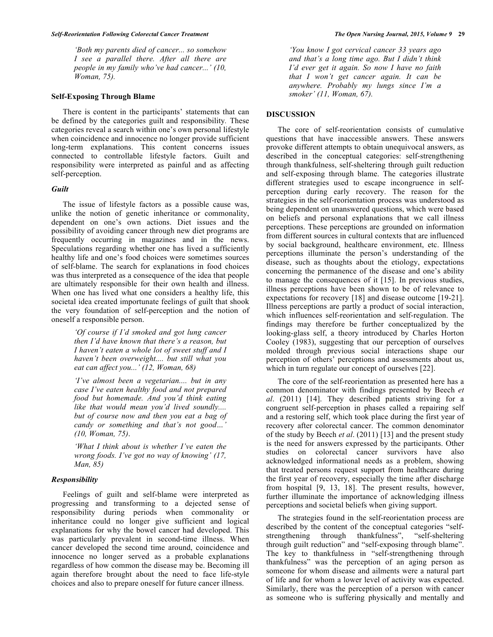*'Both my parents died of cancer... so somehow I see a parallel there. After all there are people in my family who've had cancer...' (10, Woman, 75).*

#### **Self-Exposing Through Blame**

There is content in the participants' statements that can be defined by the categories guilt and responsibility*.* These categories reveal a search within one's own personal lifestyle when coincidence and innocence no longer provide sufficient long-term explanations. This content concerns issues connected to controllable lifestyle factors. Guilt and responsibility were interpreted as painful and as affecting self-perception.

#### *Guilt*

The issue of lifestyle factors as a possible cause was, unlike the notion of genetic inheritance or commonality, dependent on one's own actions. Diet issues and the possibility of avoiding cancer through new diet programs are frequently occurring in magazines and in the news. Speculations regarding whether one has lived a sufficiently healthy life and one's food choices were sometimes sources of self-blame. The search for explanations in food choices was thus interpreted as a consequence of the idea that people are ultimately responsible for their own health and illness. When one has lived what one considers a healthy life, this societal idea created importunate feelings of guilt that shook the very foundation of self-perception and the notion of oneself a responsible person.

> *'Of course if I'd smoked and got lung cancer then I'd have known that there's a reason, but I haven't eaten a whole lot of sweet stuff and I haven't been overweight.... but still what you eat can affect you...' (12, Woman, 68)*

*'I've almost been a vegetarian.... but in any case I've eaten healthy food and not prepared food but homemade. And you'd think eating like that would mean you'd lived soundly.... but of course now and then you eat a bag of candy or something and that's not good…' (10, Woman, 75)*.

*'What I think about is whether I've eaten the wrong foods. I've got no way of knowing' (17, Man, 85)*

## *Responsibility*

Feelings of guilt and self-blame were interpreted as progressing and transforming to a dejected sense of responsibility during periods when commonality or inheritance could no longer give sufficient and logical explanations for why the bowel cancer had developed. This was particularly prevalent in second-time illness. When cancer developed the second time around, coincidence and innocence no longer served as a probable explanations regardless of how common the disease may be. Becoming ill again therefore brought about the need to face life-style choices and also to prepare oneself for future cancer illness.

*'You know I got cervical cancer 33 years ago and that's a long time ago. But I didn't think I'd ever get it again. So now I have no faith that I won't get cancer again. It can be anywhere. Probably my lungs since I'm a smoker' (11, Woman, 67).*

## **DISCUSSION**

The core of self-reorientation consists of cumulative questions that have inaccessible answers. These answers provoke different attempts to obtain unequivocal answers, as described in the conceptual categories: self-strengthening through thankfulness, self-sheltering through guilt reduction and self-exposing through blame. The categories illustrate different strategies used to escape incongruence in selfperception during early recovery. The reason for the strategies in the self-reorientation process was understood as being dependent on unanswered questions, which were based on beliefs and personal explanations that we call illness perceptions. These perceptions are grounded on information from different sources in cultural contexts that are influenced by social background, healthcare environment, etc. Illness perceptions illuminate the person's understanding of the disease, such as thoughts about the etiology, expectations concerning the permanence of the disease and one's ability to manage the consequences of it [15]. In previous studies, illness perceptions have been shown to be of relevance to expectations for recovery [18] and disease outcome [19-21]. Illness perceptions are partly a product of social interaction, which influences self-reorientation and self-regulation. The findings may therefore be further conceptualized by the looking-glass self, a theory introduced by Charles Horton Cooley (1983), suggesting that our perception of ourselves molded through previous social interactions shape our perception of others' perceptions and assessments about us, which in turn regulate our concept of ourselves [22].

The core of the self-reorientation as presented here has a common denominator with findings presented by Beech *et al*. (2011) [14]. They described patients striving for a congruent self-perception in phases called a repairing self and a restoring self, which took place during the first year of recovery after colorectal cancer. The common denominator of the study by Beech *et al*. (2011) [13] and the present study is the need for answers expressed by the participants. Other studies on colorectal cancer survivors have also acknowledged informational needs as a problem, showing that treated persons request support from healthcare during the first year of recovery, especially the time after discharge from hospital [9, 13, 18]. The present results, however, further illuminate the importance of acknowledging illness perceptions and societal beliefs when giving support.

The strategies found in the self-reorientation process are described by the content of the conceptual categories "selfstrengthening through thankfulness", "self-sheltering through guilt reduction" and "self-exposing through blame". The key to thankfulness in "self-strengthening through thankfulness" was the perception of an aging person as someone for whom disease and ailments were a natural part of life and for whom a lower level of activity was expected. Similarly, there was the perception of a person with cancer as someone who is suffering physically and mentally and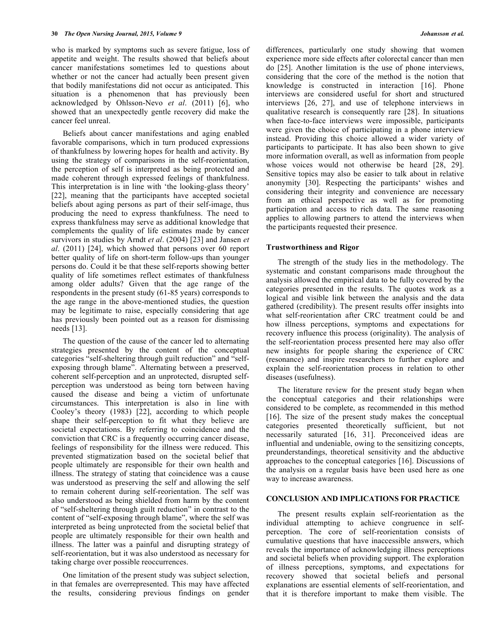who is marked by symptoms such as severe fatigue, loss of appetite and weight. The results showed that beliefs about cancer manifestations sometimes led to questions about whether or not the cancer had actually been present given that bodily manifestations did not occur as anticipated. This situation is a phenomenon that has previously been acknowledged by Ohlsson-Nevo *et al*. (2011) [6], who showed that an unexpectedly gentle recovery did make the cancer feel unreal.

Beliefs about cancer manifestations and aging enabled favorable comparisons, which in turn produced expressions of thankfulness by lowering hopes for health and activity. By using the strategy of comparisons in the self-reorientation, the perception of self is interpreted as being protected and made coherent through expressed feelings of thankfulness. This interpretation is in line with 'the looking-glass theory' [22], meaning that the participants have accepted societal beliefs about aging persons as part of their self-image, thus producing the need to express thankfulness. The need to express thankfulness may serve as additional knowledge that complements the quality of life estimates made by cancer survivors in studies by Arndt *et al*. (2004) [23] and Jansen *et al*. (2011) [24], which showed that persons over 60 report better quality of life on short-term follow-ups than younger persons do. Could it be that these self-reports showing better quality of life sometimes reflect estimates of thankfulness among older adults? Given that the age range of the respondents in the present study (61-85 years) corresponds to the age range in the above-mentioned studies, the question may be legitimate to raise, especially considering that age has previously been pointed out as a reason for dismissing needs [13].

The question of the cause of the cancer led to alternating strategies presented by the content of the conceptual categories "self-sheltering through guilt reduction" and "selfexposing through blame". Alternating between a preserved, coherent self-perception and an unprotected, disrupted selfperception was understood as being torn between having caused the disease and being a victim of unfortunate circumstances. This interpretation is also in line with Cooley's theory (1983) [22], according to which people shape their self-perception to fit what they believe are societal expectations. By referring to coincidence and the conviction that CRC is a frequently occurring cancer disease, feelings of responsibility for the illness were reduced. This prevented stigmatization based on the societal belief that people ultimately are responsible for their own health and illness. The strategy of stating that coincidence was a cause was understood as preserving the self and allowing the self to remain coherent during self-reorientation. The self was also understood as being shielded from harm by the content of "self-sheltering through guilt reduction" in contrast to the content of "self-exposing through blame", where the self was interpreted as being unprotected from the societal belief that people are ultimately responsible for their own health and illness. The latter was a painful and disrupting strategy of self-reorientation, but it was also understood as necessary for taking charge over possible reoccurrences.

One limitation of the present study was subject selection, in that females are overrepresented. This may have affected the results, considering previous findings on gender differences, particularly one study showing that women experience more side effects after colorectal cancer than men do [25]. Another limitation is the use of phone interviews, considering that the core of the method is the notion that knowledge is constructed in interaction [16]. Phone interviews are considered useful for short and structured interviews [26, 27], and use of telephone interviews in qualitative research is consequently rare [28]. In situations when face-to-face interviews were impossible, participants were given the choice of participating in a phone interview instead. Providing this choice allowed a wider variety of participants to participate. It has also been shown to give more information overall, as well as information from people whose voices would not otherwise be heard [28, 29]. Sensitive topics may also be easier to talk about in relative anonymity [30]. Respecting the participants' wishes and considering their integrity and convenience are necessary from an ethical perspective as well as for promoting participation and access to rich data. The same reasoning applies to allowing partners to attend the interviews when the participants requested their presence.

#### **Trustworthiness and Rigor**

The strength of the study lies in the methodology. The systematic and constant comparisons made throughout the analysis allowed the empirical data to be fully covered by the categories presented in the results. The quotes work as a logical and visible link between the analysis and the data gathered (credibility). The present results offer insights into what self-reorientation after CRC treatment could be and how illness perceptions, symptoms and expectations for recovery influence this process (originality). The analysis of the self-reorientation process presented here may also offer new insights for people sharing the experience of CRC (resonance) and inspire researchers to further explore and explain the self-reorientation process in relation to other diseases (usefulness).

The literature review for the present study began when the conceptual categories and their relationships were considered to be complete, as recommended in this method [16]. The size of the present study makes the conceptual categories presented theoretically sufficient, but not necessarily saturated [16, 31]. Preconceived ideas are influential and undeniable, owing to the sensitizing concepts, preunderstandings, theoretical sensitivity and the abductive approaches to the conceptual categories [16]. Discussions of the analysis on a regular basis have been used here as one way to increase awareness.

## **CONCLUSION AND IMPLICATIONS FOR PRACTICE**

The present results explain self-reorientation as the individual attempting to achieve congruence in selfperception. The core of self-reorientation consists of cumulative questions that have inaccessible answers, which reveals the importance of acknowledging illness perceptions and societal beliefs when providing support. The exploration of illness perceptions, symptoms, and expectations for recovery showed that societal beliefs and personal explanations are essential elements of self-reorientation, and that it is therefore important to make them visible. The